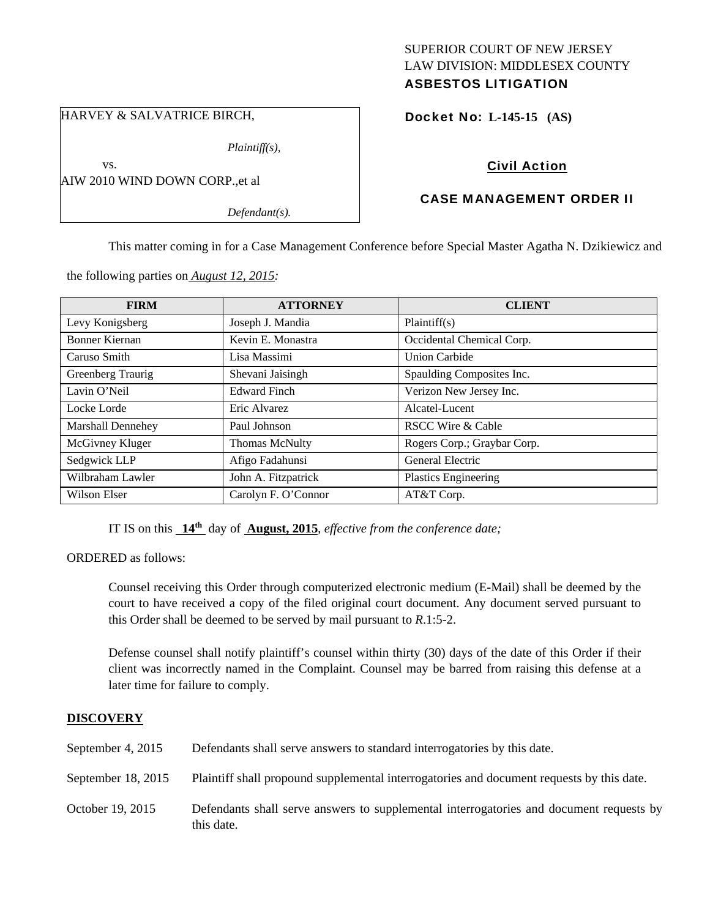# SUPERIOR COURT OF NEW JERSEY LAW DIVISION: MIDDLESEX COUNTY ASBESTOS LITIGATION

HARVEY & SALVATRICE BIRCH,

*Plaintiff(s),* 

AIW 2010 WIND DOWN CORP.,et al

vs.

*Defendant(s).*

# Docket No: **L-145-15 (AS)**

# Civil Action

# CASE MANAGEMENT ORDER II

This matter coming in for a Case Management Conference before Special Master Agatha N. Dzikiewicz and

the following parties on *August 12, 2015:* 

| <b>FIRM</b>              | <b>ATTORNEY</b>     | <b>CLIENT</b>               |
|--------------------------|---------------------|-----------------------------|
| Levy Konigsberg          | Joseph J. Mandia    | Plaintiff(s)                |
| <b>Bonner Kiernan</b>    | Kevin E. Monastra   | Occidental Chemical Corp.   |
| Caruso Smith             | Lisa Massimi        | <b>Union Carbide</b>        |
| Greenberg Traurig        | Shevani Jaisingh    | Spaulding Composites Inc.   |
| Lavin O'Neil             | <b>Edward Finch</b> | Verizon New Jersey Inc.     |
| Locke Lorde              | Eric Alvarez        | Alcatel-Lucent              |
| <b>Marshall Dennehey</b> | Paul Johnson        | RSCC Wire & Cable           |
| McGivney Kluger          | Thomas McNulty      | Rogers Corp.; Graybar Corp. |
| Sedgwick LLP             | Afigo Fadahunsi     | General Electric            |
| Wilbraham Lawler         | John A. Fitzpatrick | Plastics Engineering        |
| Wilson Elser             | Carolyn F. O'Connor | AT&T Corp.                  |

IT IS on this **14th** day of **August, 2015**, *effective from the conference date;*

ORDERED as follows:

Counsel receiving this Order through computerized electronic medium (E-Mail) shall be deemed by the court to have received a copy of the filed original court document. Any document served pursuant to this Order shall be deemed to be served by mail pursuant to *R*.1:5-2.

Defense counsel shall notify plaintiff's counsel within thirty (30) days of the date of this Order if their client was incorrectly named in the Complaint. Counsel may be barred from raising this defense at a later time for failure to comply.

# **DISCOVERY**

| September 4, 2015  | Defendants shall serve answers to standard interrogatories by this date.                              |
|--------------------|-------------------------------------------------------------------------------------------------------|
| September 18, 2015 | Plaintiff shall propound supplemental interrogatories and document requests by this date.             |
| October 19, 2015   | Defendants shall serve answers to supplemental interrogatories and document requests by<br>this date. |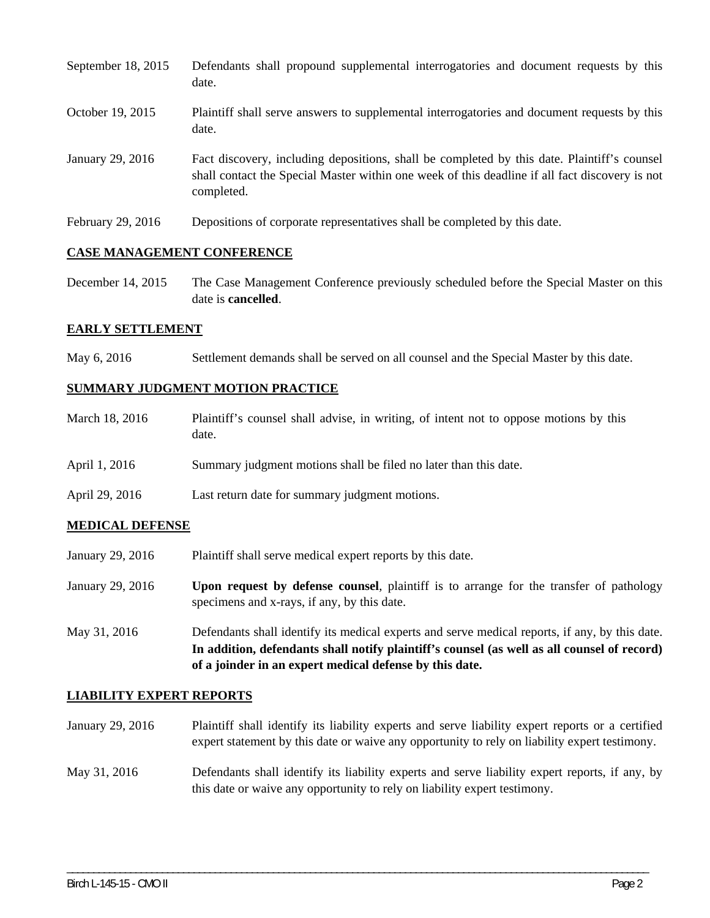| September 18, 2015 | Defendants shall propound supplemental interrogatories and document requests by this<br>date.                                                                                                               |
|--------------------|-------------------------------------------------------------------------------------------------------------------------------------------------------------------------------------------------------------|
| October 19, 2015   | Plaintiff shall serve answers to supplemental interrogatories and document requests by this<br>date.                                                                                                        |
| January 29, 2016   | Fact discovery, including depositions, shall be completed by this date. Plaintiff's counsel<br>shall contact the Special Master within one week of this deadline if all fact discovery is not<br>completed. |
| February 29, 2016  | Depositions of corporate representatives shall be completed by this date.                                                                                                                                   |

#### **CASE MANAGEMENT CONFERENCE**

December 14, 2015 The Case Management Conference previously scheduled before the Special Master on this date is **cancelled**.

### **EARLY SETTLEMENT**

May 6, 2016 Settlement demands shall be served on all counsel and the Special Master by this date.

# **SUMMARY JUDGMENT MOTION PRACTICE**

| March 18, 2016 | Plaintiff's counsel shall advise, in writing, of intent not to oppose motions by this<br>date. |
|----------------|------------------------------------------------------------------------------------------------|
| April 1, 2016  | Summary judgment motions shall be filed no later than this date.                               |
| April 29, 2016 | Last return date for summary judgment motions.                                                 |

# **MEDICAL DEFENSE**

- January 29, 2016 Plaintiff shall serve medical expert reports by this date.
- January 29, 2016 **Upon request by defense counsel**, plaintiff is to arrange for the transfer of pathology specimens and x-rays, if any, by this date.
- May 31, 2016 Defendants shall identify its medical experts and serve medical reports, if any, by this date. **In addition, defendants shall notify plaintiff's counsel (as well as all counsel of record) of a joinder in an expert medical defense by this date.**

#### **LIABILITY EXPERT REPORTS**

- January 29, 2016 Plaintiff shall identify its liability experts and serve liability expert reports or a certified expert statement by this date or waive any opportunity to rely on liability expert testimony.
- May 31, 2016 Defendants shall identify its liability experts and serve liability expert reports, if any, by this date or waive any opportunity to rely on liability expert testimony.

\_\_\_\_\_\_\_\_\_\_\_\_\_\_\_\_\_\_\_\_\_\_\_\_\_\_\_\_\_\_\_\_\_\_\_\_\_\_\_\_\_\_\_\_\_\_\_\_\_\_\_\_\_\_\_\_\_\_\_\_\_\_\_\_\_\_\_\_\_\_\_\_\_\_\_\_\_\_\_\_\_\_\_\_\_\_\_\_\_\_\_\_\_\_\_\_\_\_\_\_\_\_\_\_\_\_\_\_\_\_